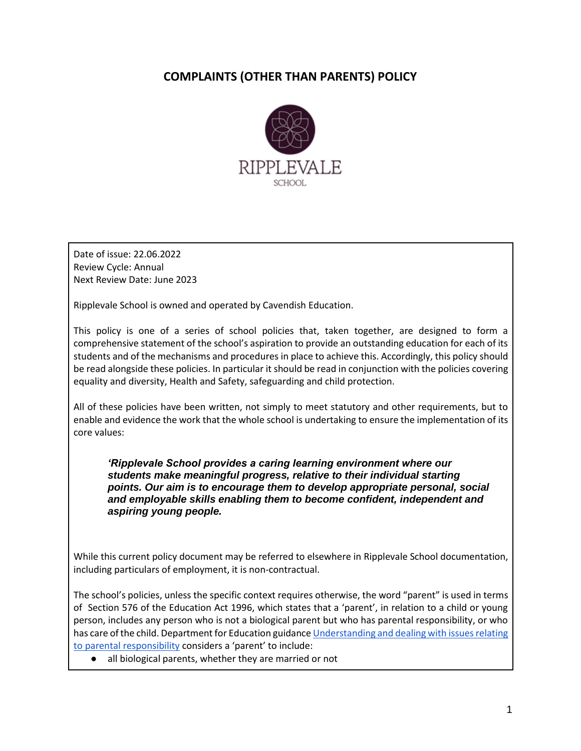# **COMPLAINTS (OTHER THAN PARENTS) POLICY**



Date of issue: 22.06.2022 Review Cycle: Annual Next Review Date: June 2023

Ripplevale School is owned and operated by Cavendish Education.

This policy is one of a series of school policies that, taken together, are designed to form a comprehensive statement of the school's aspiration to provide an outstanding education for each of its students and of the mechanisms and procedures in place to achieve this. Accordingly, this policy should be read alongside these policies. In particular it should be read in conjunction with the policies covering equality and diversity, Health and Safety, safeguarding and child protection.

All of these policies have been written, not simply to meet statutory and other requirements, but to enable and evidence the work that the whole school is undertaking to ensure the implementation of its core values:

*'Ripplevale School provides a caring learning environment where our students make meaningful progress, relative to their individual starting points. Our aim is to encourage them to develop appropriate personal, social and employable skills enabling them to become confident, independent and aspiring young people.*

While this current policy document may be referred to elsewhere in Ripplevale School documentation, including particulars of employment, it is non-contractual.

The school's policies, unless the specific context requires otherwise, the word "parent" is used in terms of Section 576 of the Education Act 1996, which states that a 'parent', in relation to a child or young person, includes any person who is not a biological parent but who has parental responsibility, or who has care of the child. Department for Education guidanc[e Understanding and dealing with issues relating](https://www.gov.uk/government/publications/dealing-with-issues-relating-to-parental-responsibility/understanding-and-dealing-with-issues-relating-to-parental-responsibility)  [to parental responsibility](https://www.gov.uk/government/publications/dealing-with-issues-relating-to-parental-responsibility/understanding-and-dealing-with-issues-relating-to-parental-responsibility) considers a 'parent' to include:

all biological parents, whether they are married or not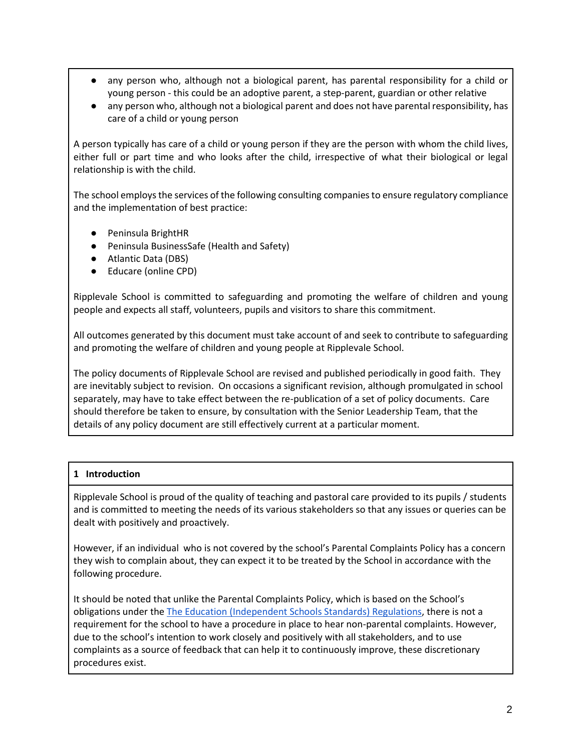- any person who, although not a biological parent, has parental responsibility for a child or young person - this could be an adoptive parent, a step-parent, guardian or other relative
- any person who, although not a biological parent and does not have parental responsibility, has care of a child or young person

A person typically has care of a child or young person if they are the person with whom the child lives, either full or part time and who looks after the child, irrespective of what their biological or legal relationship is with the child.

The school employs the services of the following consulting companies to ensure regulatory compliance and the implementation of best practice:

- Peninsula BrightHR
- Peninsula BusinessSafe (Health and Safety)
- Atlantic Data (DBS)
- Educare (online CPD)

Ripplevale School is committed to safeguarding and promoting the welfare of children and young people and expects all staff, volunteers, pupils and visitors to share this commitment.

All outcomes generated by this document must take account of and seek to contribute to safeguarding and promoting the welfare of children and young people at Ripplevale School.

The policy documents of Ripplevale School are revised and published periodically in good faith. They are inevitably subject to revision. On occasions a significant revision, although promulgated in school separately, may have to take effect between the re-publication of a set of policy documents. Care should therefore be taken to ensure, by consultation with the Senior Leadership Team, that the details of any policy document are still effectively current at a particular moment.

# **1 Introduction**

Ripplevale School is proud of the quality of teaching and pastoral care provided to its pupils / students and is committed to meeting the needs of its various stakeholders so that any issues or queries can be dealt with positively and proactively.

However, if an individual who is not covered by the school's Parental Complaints Policy has a concern they wish to complain about, they can expect it to be treated by the School in accordance with the following procedure.

It should be noted that unlike the Parental Complaints Policy, which is based on the School's obligations under th[e The Education \(Independent Schools Standards\) Regulations,](https://www.legislation.gov.uk/uksi/2014/3283/pdfs/uksi_20143283_en.pdf) there is not a requirement for the school to have a procedure in place to hear non-parental complaints. However, due to the school's intention to work closely and positively with all stakeholders, and to use complaints as a source of feedback that can help it to continuously improve, these discretionary procedures exist.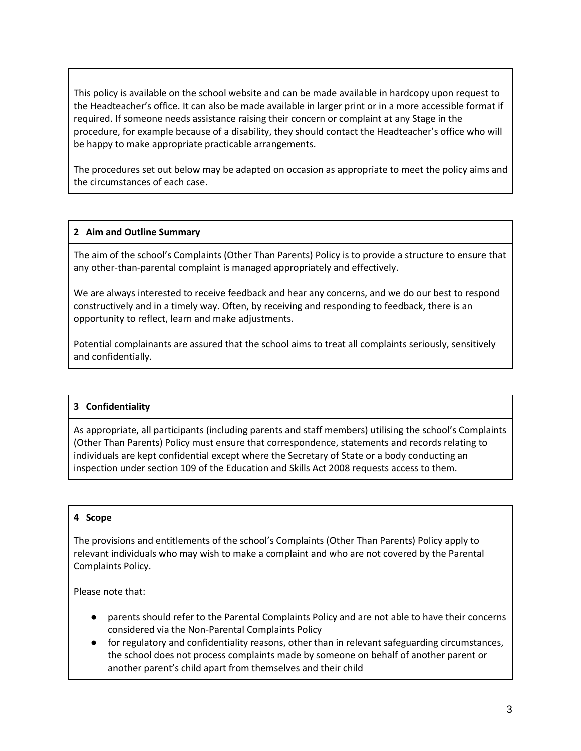This policy is available on the school website and can be made available in hardcopy upon request to the Headteacher's office. It can also be made available in larger print or in a more accessible format if required. If someone needs assistance raising their concern or complaint at any Stage in the procedure, for example because of a disability, they should contact the Headteacher's office who will be happy to make appropriate practicable arrangements.

The procedures set out below may be adapted on occasion as appropriate to meet the policy aims and the circumstances of each case.

#### **2 Aim and Outline Summary**

The aim of the school's Complaints (Other Than Parents) Policy is to provide a structure to ensure that any other-than-parental complaint is managed appropriately and effectively.

We are always interested to receive feedback and hear any concerns, and we do our best to respond constructively and in a timely way. Often, by receiving and responding to feedback, there is an opportunity to reflect, learn and make adjustments.

Potential complainants are assured that the school aims to treat all complaints seriously, sensitively and confidentially.

#### **3 Confidentiality**

As appropriate, all participants (including parents and staff members) utilising the school's Complaints (Other Than Parents) Policy must ensure that correspondence, statements and records relating to individuals are kept confidential except where the Secretary of State or a body conducting an inspection under section 109 of the Education and Skills Act 2008 requests access to them.

#### **4 Scope**

The provisions and entitlements of the school's Complaints (Other Than Parents) Policy apply to relevant individuals who may wish to make a complaint and who are not covered by the Parental Complaints Policy.

Please note that:

- parents should refer to the Parental Complaints Policy and are not able to have their concerns considered via the Non-Parental Complaints Policy
- for regulatory and confidentiality reasons, other than in relevant safeguarding circumstances, the school does not process complaints made by someone on behalf of another parent or another parent's child apart from themselves and their child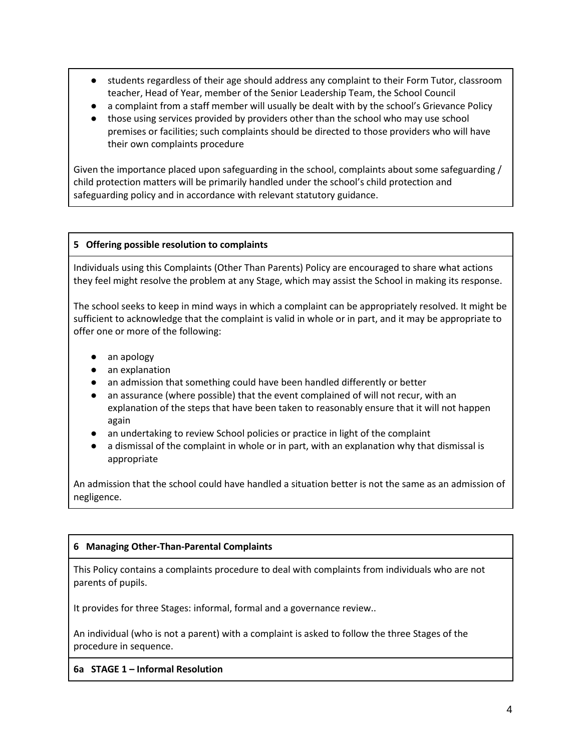- students regardless of their age should address any complaint to their Form Tutor, classroom teacher, Head of Year, member of the Senior Leadership Team, the School Council
- a complaint from a staff member will usually be dealt with by the school's Grievance Policy
- those using services provided by providers other than the school who may use school premises or facilities; such complaints should be directed to those providers who will have their own complaints procedure

Given the importance placed upon safeguarding in the school, complaints about some safeguarding / child protection matters will be primarily handled under the school's child protection and safeguarding policy and in accordance with relevant statutory guidance.

#### **5 Offering possible resolution to complaints**

Individuals using this Complaints (Other Than Parents) Policy are encouraged to share what actions they feel might resolve the problem at any Stage, which may assist the School in making its response.

The school seeks to keep in mind ways in which a complaint can be appropriately resolved. It might be sufficient to acknowledge that the complaint is valid in whole or in part, and it may be appropriate to offer one or more of the following:

- an apology
- an explanation
- an admission that something could have been handled differently or better
- an assurance (where possible) that the event complained of will not recur, with an explanation of the steps that have been taken to reasonably ensure that it will not happen again
- an undertaking to review School policies or practice in light of the complaint
- a dismissal of the complaint in whole or in part, with an explanation why that dismissal is appropriate

An admission that the school could have handled a situation better is not the same as an admission of negligence.

# **6 Managing Other-Than-Parental Complaints**

This Policy contains a complaints procedure to deal with complaints from individuals who are not parents of pupils.

It provides for three Stages: informal, formal and a governance review..

An individual (who is not a parent) with a complaint is asked to follow the three Stages of the procedure in sequence.

# **6a STAGE 1 – Informal Resolution**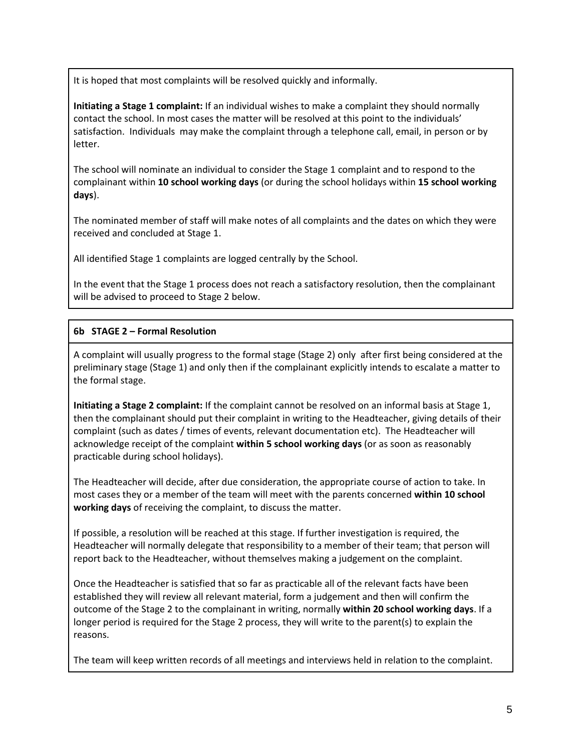It is hoped that most complaints will be resolved quickly and informally.

**Initiating a Stage 1 complaint:** If an individual wishes to make a complaint they should normally contact the school. In most cases the matter will be resolved at this point to the individuals' satisfaction. Individuals may make the complaint through a telephone call, email, in person or by letter.

The school will nominate an individual to consider the Stage 1 complaint and to respond to the complainant within **10 school working days** (or during the school holidays within **15 school working days**).

The nominated member of staff will make notes of all complaints and the dates on which they were received and concluded at Stage 1.

All identified Stage 1 complaints are logged centrally by the School.

In the event that the Stage 1 process does not reach a satisfactory resolution, then the complainant will be advised to proceed to Stage 2 below.

# **6b STAGE 2 – Formal Resolution**

A complaint will usually progress to the formal stage (Stage 2) only after first being considered at the preliminary stage (Stage 1) and only then if the complainant explicitly intends to escalate a matter to the formal stage.

**Initiating a Stage 2 complaint:** If the complaint cannot be resolved on an informal basis at Stage 1, then the complainant should put their complaint in writing to the Headteacher, giving details of their complaint (such as dates / times of events, relevant documentation etc). The Headteacher will acknowledge receipt of the complaint **within 5 school working days** (or as soon as reasonably practicable during school holidays).

The Headteacher will decide, after due consideration, the appropriate course of action to take. In most cases they or a member of the team will meet with the parents concerned **within 10 school working days** of receiving the complaint, to discuss the matter.

If possible, a resolution will be reached at this stage. If further investigation is required, the Headteacher will normally delegate that responsibility to a member of their team; that person will report back to the Headteacher, without themselves making a judgement on the complaint.

Once the Headteacher is satisfied that so far as practicable all of the relevant facts have been established they will review all relevant material, form a judgement and then will confirm the outcome of the Stage 2 to the complainant in writing, normally **within 20 school working days**. If a longer period is required for the Stage 2 process, they will write to the parent(s) to explain the reasons.

The team will keep written records of all meetings and interviews held in relation to the complaint.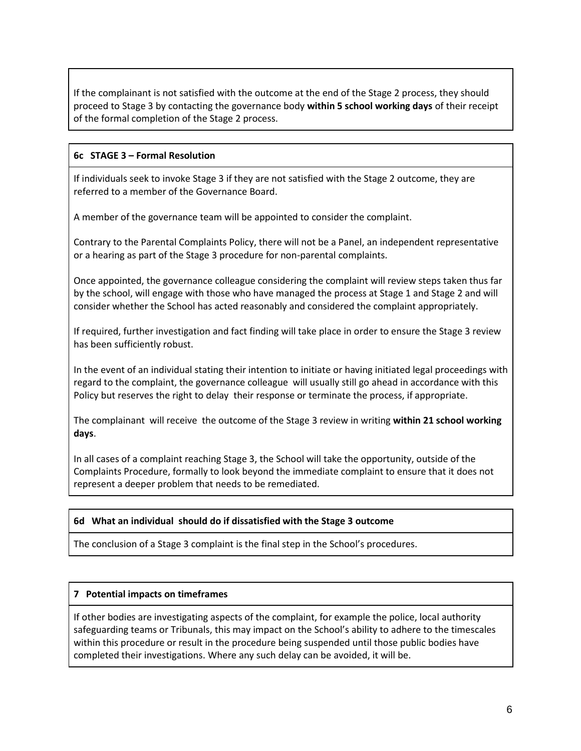If the complainant is not satisfied with the outcome at the end of the Stage 2 process, they should proceed to Stage 3 by contacting the governance body **within 5 school working days** of their receipt of the formal completion of the Stage 2 process.

# **6c STAGE 3 – Formal Resolution**

If individuals seek to invoke Stage 3 if they are not satisfied with the Stage 2 outcome, they are referred to a member of the Governance Board.

A member of the governance team will be appointed to consider the complaint.

Contrary to the Parental Complaints Policy, there will not be a Panel, an independent representative or a hearing as part of the Stage 3 procedure for non-parental complaints.

Once appointed, the governance colleague considering the complaint will review steps taken thus far by the school, will engage with those who have managed the process at Stage 1 and Stage 2 and will consider whether the School has acted reasonably and considered the complaint appropriately.

If required, further investigation and fact finding will take place in order to ensure the Stage 3 review has been sufficiently robust.

In the event of an individual stating their intention to initiate or having initiated legal proceedings with regard to the complaint, the governance colleague will usually still go ahead in accordance with this Policy but reserves the right to delay their response or terminate the process, if appropriate.

The complainant will receive the outcome of the Stage 3 review in writing **within 21 school working days**.

In all cases of a complaint reaching Stage 3, the School will take the opportunity, outside of the Complaints Procedure, formally to look beyond the immediate complaint to ensure that it does not represent a deeper problem that needs to be remediated.

# **6d What an individual should do if dissatisfied with the Stage 3 outcome**

The conclusion of a Stage 3 complaint is the final step in the School's procedures.

# **7 Potential impacts on timeframes**

If other bodies are investigating aspects of the complaint, for example the police, local authority safeguarding teams or Tribunals, this may impact on the School's ability to adhere to the timescales within this procedure or result in the procedure being suspended until those public bodies have completed their investigations. Where any such delay can be avoided, it will be.